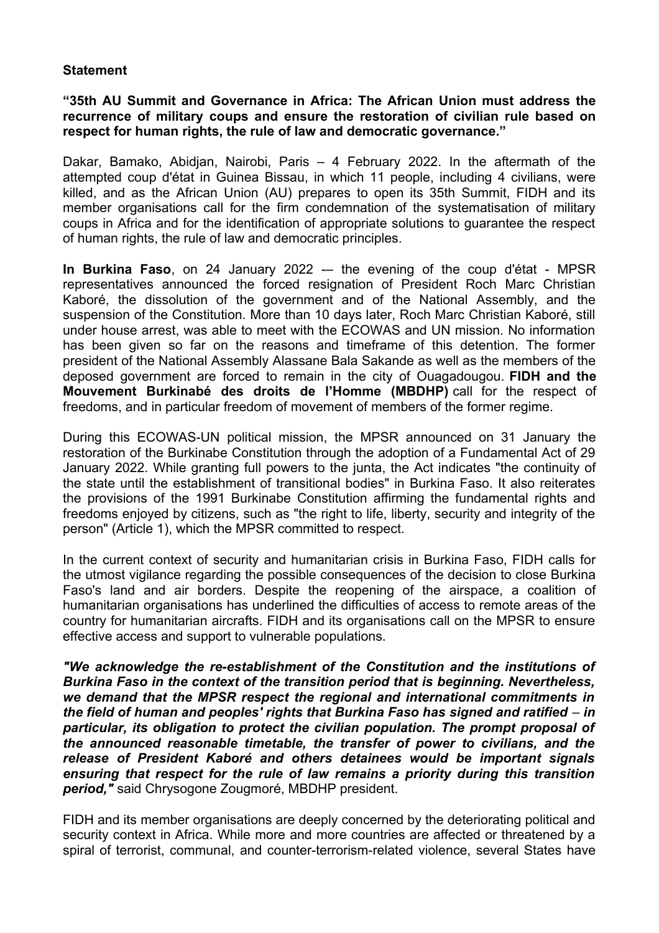## **Statement**

## **"35th AU Summit and Governance in Africa: The African Union must address the recurrence of military coups and ensure the restoration of civilian rule based on respect for human rights, the rule of law and democratic governance."**

Dakar, Bamako, Abidjan, Nairobi, Paris – 4 February 2022. In the aftermath of the attempted coup d'état in Guinea Bissau, in which 11 people, including 4 civilians, were killed, and as the African Union (AU) prepares to open its 35th Summit, FIDH and its member organisations call for the firm condemnation of the systematisation of military coups in Africa and for the identification of appropriate solutions to guarantee the respect of human rights, the rule of law and democratic principles.

**In Burkina Faso**, on 24 January 2022 -- the evening of the coup d'état - MPSR representatives announced the forced resignation of President Roch Marc Christian Kaboré, the dissolution of the government and of the National Assembly, and the suspension of the Constitution. More than 10 days later, Roch Marc Christian Kaboré, still under house arrest, was able to meet with the ECOWAS and UN mission. No information has been given so far on the reasons and timeframe of this detention. The former president of the National Assembly Alassane Bala Sakande as well as the members of the deposed government are forced to remain in the city of Ouagadougou. **FIDH and the Mouvement Burkinabé des droits de l'Homme (MBDHP)** call for the respect of freedoms, and in particular freedom of movement of members of the former regime.

During this ECOWAS-UN political mission, the MPSR announced on 31 January the restoration of the Burkinabe Constitution through the adoption of a Fundamental Act of 29 January 2022. While granting full powers to the junta, the Act indicates "the continuity of the state until the establishment of transitional bodies" in Burkina Faso. It also reiterates the provisions of the 1991 Burkinabe Constitution affirming the fundamental rights and freedoms enjoyed by citizens, such as "the right to life, liberty, security and integrity of the person" (Article 1), which the MPSR committed to respect.

In the current context of security and humanitarian crisis in Burkina Faso, FIDH calls for the utmost vigilance regarding the possible consequences of the decision to close Burkina Faso's land and air borders. Despite the reopening of the airspace, a coalition of humanitarian organisations has underlined the difficulties of access to remote areas of the country for humanitarian aircrafts. FIDH and its organisations call on the MPSR to ensure effective access and support to vulnerable populations.

*"We acknowledge the re-establishment of the Constitution and the institutions of Burkina Faso in the context of the transition period that is beginning. Nevertheless, we demand that the MPSR respect the regional and international commitments in the field of human and peoples' rights that Burkina Faso has signed and ratified – in particular, its obligation to protect the civilian population. The prompt proposal of the announced reasonable timetable, the transfer of power to civilians, and the release of President Kaboré and others detainees would be important signals ensuring that respect for the rule of law remains a priority during this transition period,"* said Chrysogone Zougmoré, MBDHP president.

FIDH and its member organisations are deeply concerned by the deteriorating political and security context in Africa. While more and more countries are affected or threatened by a spiral of terrorist, communal, and counter-terrorism-related violence, several States have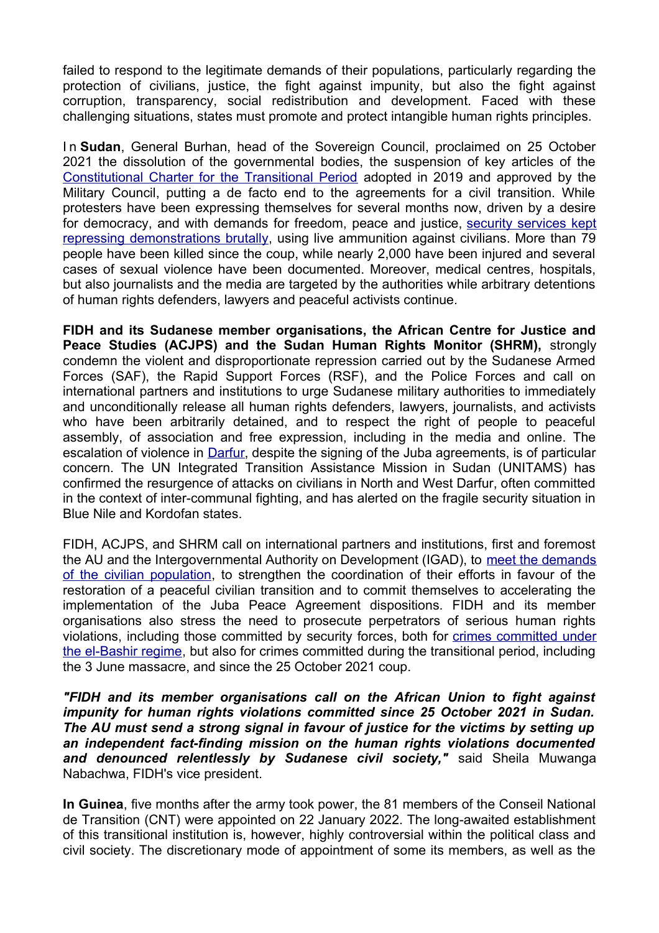failed to respond to the legitimate demands of their populations, particularly regarding the protection of civilians, justice, the fight against impunity, but also the fight against corruption, transparency, social redistribution and development. Faced with these challenging situations, states must promote and protect intangible human rights principles.

I n **Sudan**, General Burhan, head of the Sovereign Council, proclaimed on 25 October 2021 the dissolution of the governmental bodies, the suspension of key articles of the [Constitutional Charter for the Transitional Period](https://www.fidh.org/en/region/Africa/sudan/sudan-the-army-must-restore-the-authorities-in-charge-of-the) adopted in 2019 and approved by the Military Council, putting a de facto end to the agreements for a civil transition. While protesters have been expressing themselves for several months now, driven by a desire for democracy, and with demands for freedom, peace and justice, [security services kept](https://www.fidh.org/en/region/Africa/sudan/a-very-short-window-of-hope-for-peace-in-sudan) [repressing demonstrations brutally,](https://www.fidh.org/en/region/Africa/sudan/a-very-short-window-of-hope-for-peace-in-sudan) using live ammunition against civilians. More than 79 people have been killed since the coup, while nearly 2,000 have been injured and several cases of sexual violence have been documented. Moreover, medical centres, hospitals, but also journalists and the media are targeted by the authorities while arbitrary detentions of human rights defenders, lawyers and peaceful activists continue.

**FIDH and its Sudanese member organisations, the African Centre for Justice and Peace Studies (ACJPS) and the Sudan Human Rights Monitor (SHRM),** strongly condemn the violent and disproportionate repression carried out by the Sudanese Armed Forces (SAF), the Rapid Support Forces (RSF), and the Police Forces and call on international partners and institutions to urge Sudanese military authorities to immediately and unconditionally release all human rights defenders, lawyers, journalists, and activists who have been arbitrarily detained, and to respect the right of people to peaceful assembly, of association and free expression, including in the media and online. The escalation of violence in [Darfur,](https://www.fidh.org/en/region/Africa/sudan/darfur-17-years-on-reign-of-impunity-must-end) despite the signing of the Juba agreements, is of particular concern. The UN Integrated Transition Assistance Mission in Sudan (UNITAMS) has confirmed the resurgence of attacks on civilians in North and West Darfur, often committed in the context of inter-communal fighting, and has alerted on the fragile security situation in Blue Nile and Kordofan states.

FIDH, ACJPS, and SHRM call on international partners and institutions, first and foremost the AU and the Intergovernmental Authority on Development (IGAD), to [meet the demands](https://www.fidh.org/en/region/Africa/sudan/sudan-un-resolution-adopted-on-situation-in-sudan) [of the civilian population,](https://www.fidh.org/en/region/Africa/sudan/sudan-un-resolution-adopted-on-situation-in-sudan) to strengthen the coordination of their efforts in favour of the restoration of a peaceful civilian transition and to commit themselves to accelerating the implementation of the Juba Peace Agreement dispositions. FIDH and its member organisations also stress the need to prosecute perpetrators of serious human rights violations, including those committed by security forces, both for [crimes committed under](https://www.fidh.org/en/region/Africa/sudan/will-darfur-victims-finally-see-justice-sudan-official-announces) [the el-Bashir regime,](https://www.fidh.org/en/region/Africa/sudan/will-darfur-victims-finally-see-justice-sudan-official-announces) but also for crimes committed during the transitional period, including the 3 June massacre, and since the 25 October 2021 coup.

*"FIDH and its member organisations call on the African Union to fight against impunity for human rights violations committed since 25 October 2021 in Sudan. The AU must send a strong signal in favour of justice for the victims by setting up an independent fact-finding mission on the human rights violations documented and denounced relentlessly by Sudanese civil society,"* said Sheila Muwanga Nabachwa, FIDH's vice president.

**In Guinea**, five months after the army took power, the 81 members of the Conseil National de Transition (CNT) were appointed on 22 January 2022. The long-awaited establishment of this transitional institution is, however, highly controversial within the political class and civil society. The discretionary mode of appointment of some its members, as well as the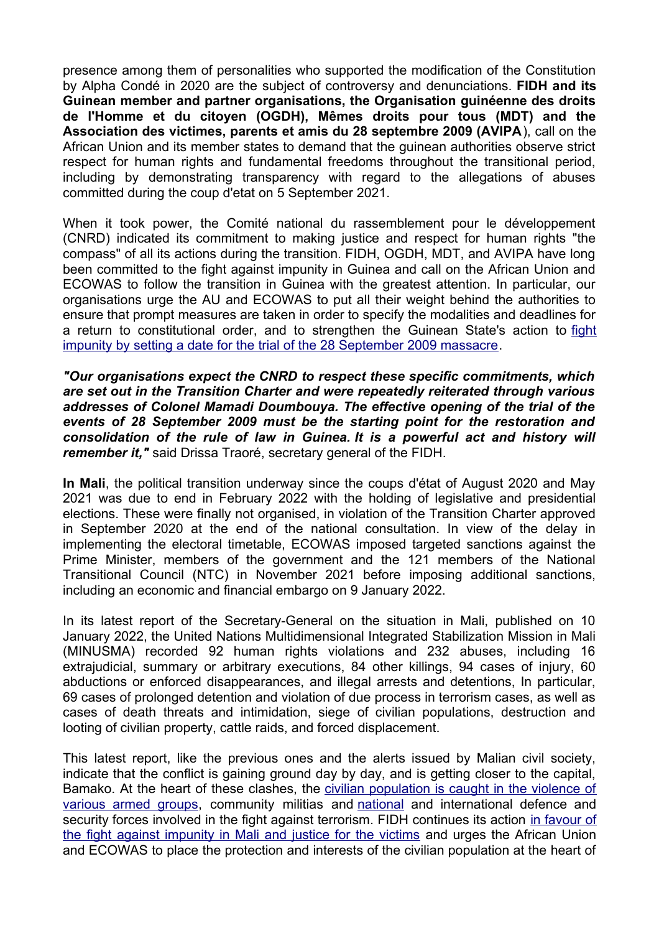presence among them of personalities who supported the modification of the Constitution by Alpha Condé in 2020 are the subject of controversy and denunciations. **FIDH and its Guinean member and partner organisations, the Organisation guinéenne des droits de l'Homme et du citoyen (OGDH), Mêmes droits pour tous (MDT) and the Association des victimes, parents et amis du 28 septembre 2009 (AVIPA**), call on the African Union and its member states to demand that the guinean authorities observe strict respect for human rights and fundamental freedoms throughout the transitional period, including by demonstrating transparency with regard to the allegations of abuses committed during the coup d'etat on 5 September 2021.

When it took power, the Comité national du rassemblement pour le développement (CNRD) indicated its commitment to making justice and respect for human rights "the compass" of all its actions during the transition. FIDH, OGDH, MDT, and AVIPA have long been committed to the fight against impunity in Guinea and call on the African Union and ECOWAS to follow the transition in Guinea with the greatest attention. In particular, our organisations urge the AU and ECOWAS to put all their weight behind the authorities to ensure that prompt measures are taken in order to specify the modalities and deadlines for a return to constitutional order, and to strengthen the Guinean State's action to [fight](https://www.fidh.org/en/region/Africa/guinea-conakry/guinea-coup-further-complicates-massacre-justice) [impunity by setting a date for the trial of the 28 September 2009 massacre.](https://www.fidh.org/en/region/Africa/guinea-conakry/guinea-coup-further-complicates-massacre-justice)

*"Our organisations expect the CNRD to respect these specific commitments, which are set out in the Transition Charter and were repeatedly reiterated through various addresses of Colonel Mamadi Doumbouya. The effective opening of the trial of the events of 28 September 2009 must be the starting point for the restoration and consolidation of the rule of law in Guinea. It is a powerful act and history will remember it,"* said Drissa Traoré, secretary general of the FIDH.

**In Mali**, the political transition underway since the coups d'état of August 2020 and May 2021 was due to end in February 2022 with the holding of legislative and presidential elections. These were finally not organised, in violation of the Transition Charter approved in September 2020 at the end of the national consultation. In view of the delay in implementing the electoral timetable, ECOWAS imposed targeted sanctions against the Prime Minister, members of the government and the 121 members of the National Transitional Council (NTC) in November 2021 before imposing additional sanctions, including an economic and financial embargo on 9 January 2022.

In its latest report of the Secretary-General on the situation in Mali, published on 10 January 2022, the United Nations Multidimensional Integrated Stabilization Mission in Mali (MINUSMA) recorded 92 human rights violations and 232 abuses, including 16 extrajudicial, summary or arbitrary executions, 84 other killings, 94 cases of injury, 60 abductions or enforced disappearances, and illegal arrests and detentions, In particular, 69 cases of prolonged detention and violation of due process in terrorism cases, as well as cases of death threats and intimidation, siege of civilian populations, destruction and looting of civilian property, cattle raids, and forced displacement.

This latest report, like the previous ones and the alerts issued by Malian civil society, indicate that the conflict is gaining ground day by day, and is getting closer to the capital, Bamako. At the heart of these clashes, the [civilian population is caught in the violence of](https://www.fidh.org/en/region/Africa/mali/central-mali-populations-caught-between-terrorism-and-anti-terrorism) [various armed groups,](https://www.fidh.org/en/region/Africa/mali/central-mali-populations-caught-between-terrorism-and-anti-terrorism) community militias and [national](https://www.fidh.org/en/region/Africa/mali/the-sahel-in-2020-more-civilians-were-killed-by-the-security-forces) and international defence and security forces involved in the fight against terrorism. FIDH continues its action [in favour of](https://www.fidh.org/en/region/Africa/mali/mali-new-project-makes-the-fight-against-impunity-a-priority) [the fight against impunity in Mali and justice for the victims](https://www.fidh.org/en/region/Africa/mali/mali-new-project-makes-the-fight-against-impunity-a-priority) and urges the African Union and ECOWAS to place the protection and interests of the civilian population at the heart of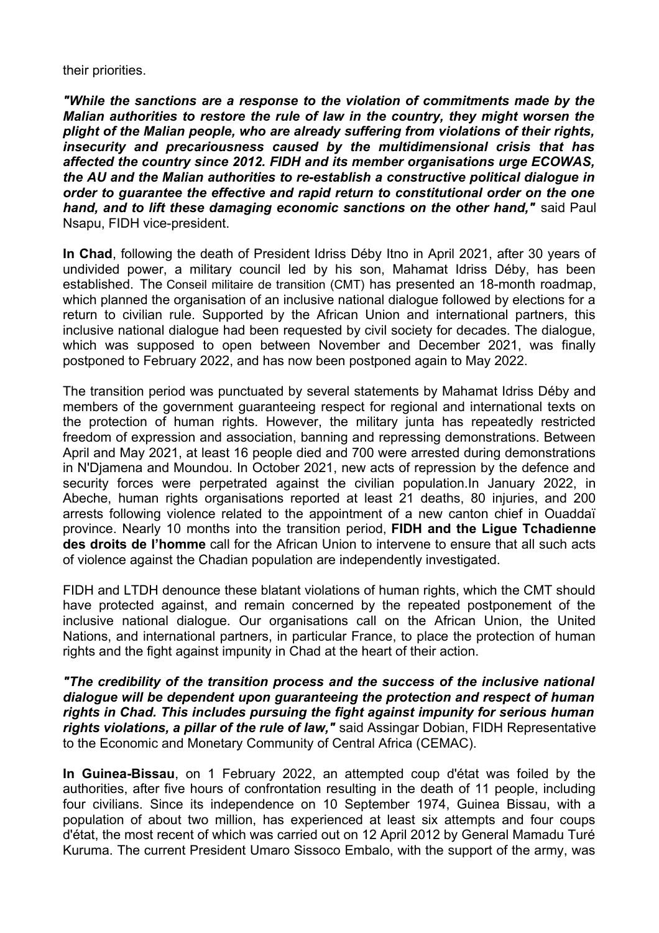their priorities.

*"While the sanctions are a response to the violation of commitments made by the Malian authorities to restore the rule of law in the country, they might worsen the plight of the Malian people, who are already suffering from violations of their rights, insecurity and precariousness caused by the multidimensional crisis that has affected the country since 2012. FIDH and its member organisations urge ECOWAS, the AU and the Malian authorities to re-establish a constructive political dialogue in order to guarantee the effective and rapid return to constitutional order on the one hand, and to lift these damaging economic sanctions on the other hand,"* said Paul Nsapu, FIDH vice-president.

**In Chad**, following the death of President Idriss Déby Itno in April 2021, after 30 years of undivided power, a military council led by his son, Mahamat Idriss Déby, has been established. The Conseil militaire de transition (CMT) has presented an 18-month roadmap, which planned the organisation of an inclusive national dialogue followed by elections for a return to civilian rule. Supported by the African Union and international partners, this inclusive national dialogue had been requested by civil society for decades. The dialogue, which was supposed to open between November and December 2021, was finally postponed to February 2022, and has now been postponed again to May 2022.

The transition period was punctuated by several statements by Mahamat Idriss Déby and members of the government guaranteeing respect for regional and international texts on the protection of human rights. However, the military junta has repeatedly restricted freedom of expression and association, banning and repressing demonstrations. Between April and May 2021, at least 16 people died and 700 were arrested during demonstrations in N'Djamena and Moundou. In October 2021, new acts of repression by the defence and security forces were perpetrated against the civilian population. In January 2022, in Abeche, human rights organisations reported at least 21 deaths, 80 injuries, and 200 arrests following violence related to the appointment of a new canton chief in Ouaddaï province. Nearly 10 months into the transition period, **FIDH and the Ligue Tchadienne des droits de l'homme** call for the African Union to intervene to ensure that all such acts of violence against the Chadian population are independently investigated.

FIDH and LTDH denounce these blatant violations of human rights, which the CMT should have protected against, and remain concerned by the repeated postponement of the inclusive national dialogue. Our organisations call on the African Union, the United Nations, and international partners, in particular France, to place the protection of human rights and the fight against impunity in Chad at the heart of their action.

*"The credibility of the transition process and the success of the inclusive national dialogue will be dependent upon guaranteeing the protection and respect of human rights in Chad. This includes pursuing the fight against impunity for serious human rights violations, a pillar of the rule of law,"* said Assingar Dobian, FIDH Representative to the Economic and Monetary Community of Central Africa (CEMAC).

**In Guinea-Bissau**, on 1 February 2022, an attempted coup d'état was foiled by the authorities, after five hours of confrontation resulting in the death of 11 people, including four civilians. Since its independence on 10 September 1974, Guinea Bissau, with a population of about two million, has experienced at least six attempts and four coups d'état, the most recent of which was carried out on 12 April 2012 by General Mamadu Turé Kuruma. The current President Umaro Sissoco Embalo, with the support of the army, was